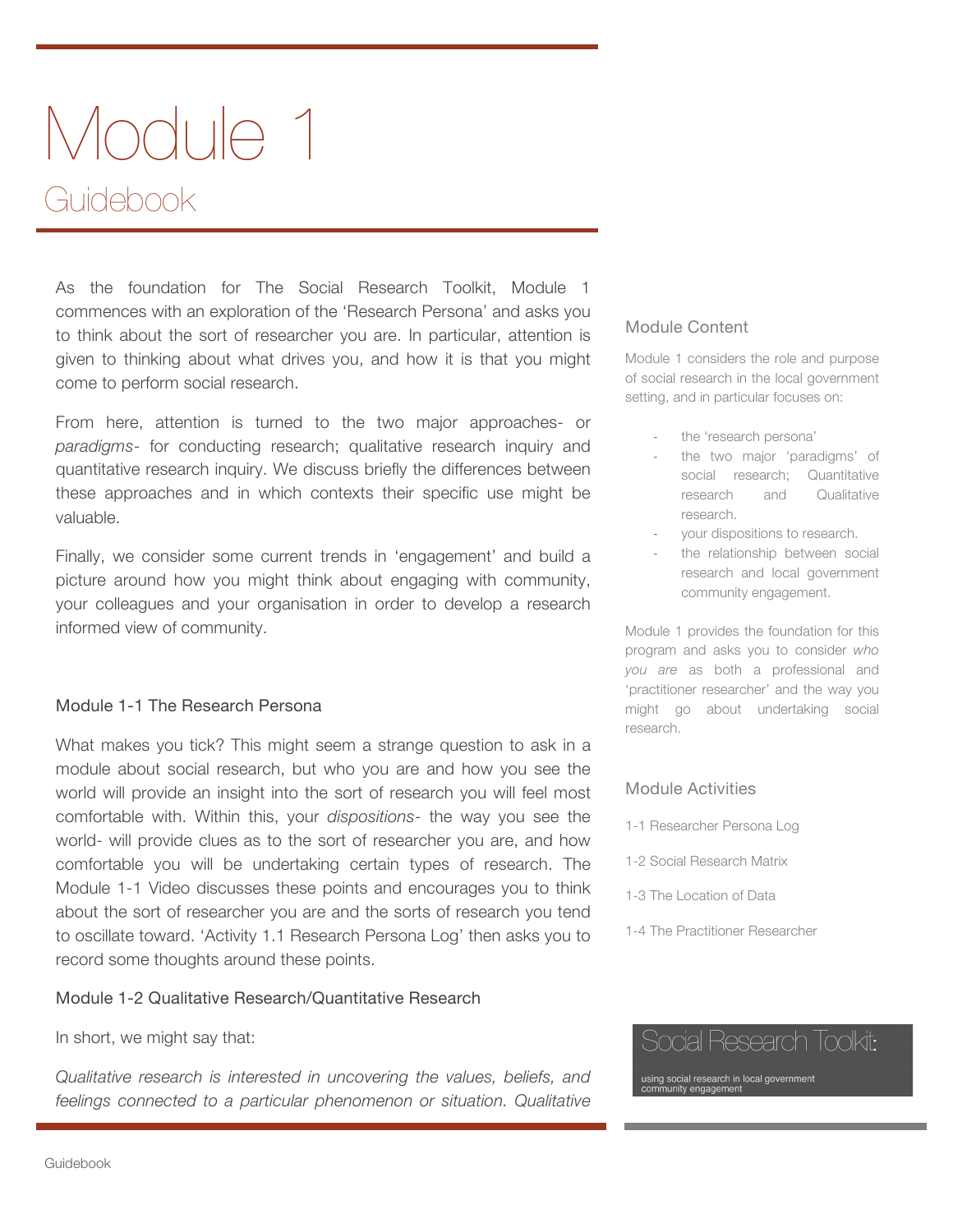# Module 1 Guidebook

As the foundation for The Social Research Toolkit, Module 1 commences with an exploration of the 'Research Persona' and asks you to think about the sort of researcher you are. In particular, attention is given to thinking about what drives you, and how it is that you might come to perform social research.

From here, attention is turned to the two major approaches- or *paradigms*- for conducting research; qualitative research inquiry and quantitative research inquiry. We discuss briefly the differences between these approaches and in which contexts their specific use might be valuable.

Finally, we consider some current trends in 'engagement' and build a picture around how you might think about engaging with community, your colleagues and your organisation in order to develop a research informed view of community.

### Module 1-1 The Research Persona

What makes you tick? This might seem a strange question to ask in a module about social research, but who you are and how you see the world will provide an insight into the sort of research you will feel most comfortable with. Within this, your *dispositions*- the way you see the world- will provide clues as to the sort of researcher you are, and how comfortable you will be undertaking certain types of research. The Module 1-1 Video discusses these points and encourages you to think about the sort of researcher you are and the sorts of research you tend to oscillate toward. 'Activity 1.1 Research Persona Log' then asks you to record some thoughts around these points.

### Module 1-2 Qualitative Research/Quantitative Research

In short, we might say that:

*Qualitative research is interested in uncovering the values, beliefs, and*  feelings connected to a particular phenomenon or situation. Qualitative

### Module Content

Module 1 considers the role and purpose of social research in the local government setting, and in particular focuses on:

- the 'research persona'
- the two major 'paradigms' of social research; Quantitative research and Qualitative research.
- your dispositions to research.
- the relationship between social research and local government community engagement.

Module 1 provides the foundation for this program and asks you to consider *who you are* as both a professional and 'practitioner researcher' and the way you might go about undertaking social research.

### Module Activities

- 1-1 Researcher Persona Log
- 1-2 Social Research Matrix
- 1-3 The Location of Data
- 1-4 The Practitioner Researcher

## Social Research Toolkit:

using social research in local government<br>community engagement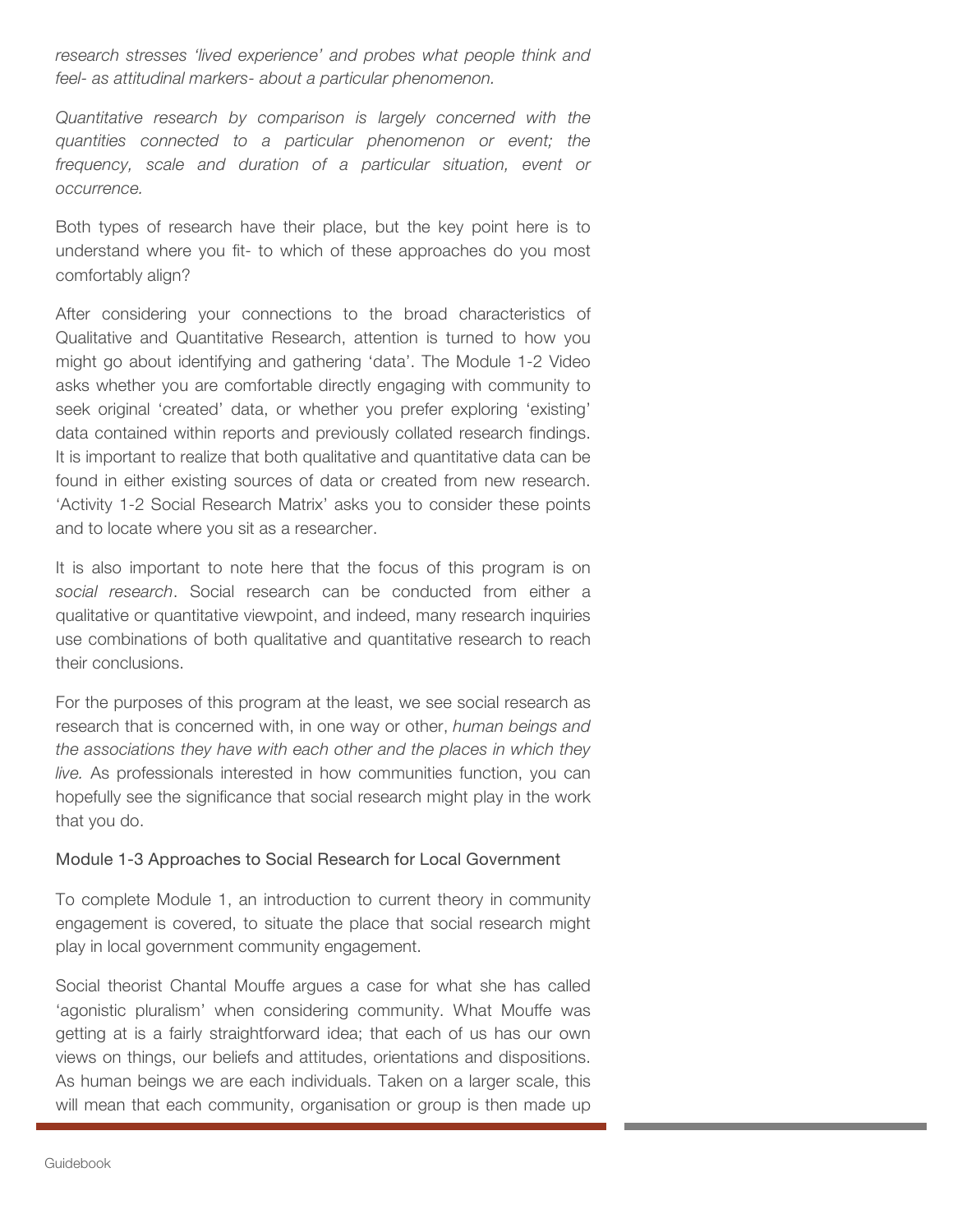*research stresses 'lived experience' and probes what people think and feel- as attitudinal markers- about a particular phenomenon.* 

*Quantitative research by comparison is largely concerned with the quantities connected to a particular phenomenon or event; the frequency, scale and duration of a particular situation, event or occurrence.* 

Both types of research have their place, but the key point here is to understand where you fit- to which of these approaches do you most comfortably align?

After considering your connections to the broad characteristics of Qualitative and Quantitative Research, attention is turned to how you might go about identifying and gathering 'data'. The Module 1-2 Video asks whether you are comfortable directly engaging with community to seek original 'created' data, or whether you prefer exploring 'existing' data contained within reports and previously collated research findings. It is important to realize that both qualitative and quantitative data can be found in either existing sources of data or created from new research. 'Activity 1-2 Social Research Matrix' asks you to consider these points and to locate where you sit as a researcher.

It is also important to note here that the focus of this program is on *social research*. Social research can be conducted from either a qualitative or quantitative viewpoint, and indeed, many research inquiries use combinations of both qualitative and quantitative research to reach their conclusions.

For the purposes of this program at the least, we see social research as research that is concerned with, in one way or other, *human beings and the associations they have with each other and the places in which they live.* As professionals interested in how communities function, you can hopefully see the significance that social research might play in the work that you do.

### Module 1-3 Approaches to Social Research for Local Government

To complete Module 1, an introduction to current theory in community engagement is covered, to situate the place that social research might play in local government community engagement.

Social theorist Chantal Mouffe argues a case for what she has called 'agonistic pluralism' when considering community. What Mouffe was getting at is a fairly straightforward idea; that each of us has our own views on things, our beliefs and attitudes, orientations and dispositions. As human beings we are each individuals. Taken on a larger scale, this will mean that each community, organisation or group is then made up